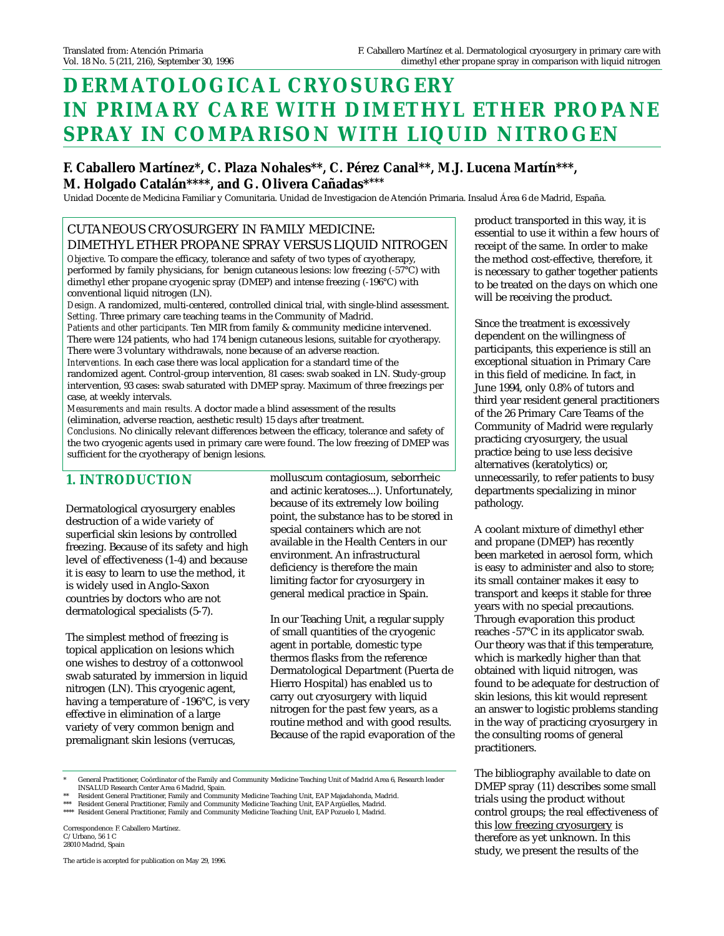# **DERMATOLOGICAL CRYOSURGERY IN PRIMARY CARE WITH DIMETHYL ETHER PROPANE SPRAY IN COMPARISON WITH LIQUID NITROGEN**

## **F. Caballero Martínez\*, C. Plaza Nohales\*\*, C. Pérez Canal\*\*, M.J. Lucena Martín\*\*\*, M. Holgado Catalán\*\*\*\*, and G. Olivera Cañadas\*\*\*\***

Unidad Docente de Medicina Familiar y Comunitaria. Unidad de Investigacion de Atención Primaria. Insalud Área 6 de Madrid, España.

#### CUTANEOUS CRYOSURGERY IN FAMILY MEDICINE: DIMETHYL ETHER PROPANE SPRAY VERSUS LIQUID NITROGEN

*Objective*. To compare the efficacy, tolerance and safety of two types of cryotherapy, performed by family physicians, for benign cutaneous lesions: low freezing (-57°C) with dimethyl ether propane cryogenic spray (DMEP) and intense freezing (-196°C) with conventional liquid nitrogen (LN).

*Design.* A randomized, multi-centered, controlled clinical trial, with single-blind assessment. *Setting.* Three primary care teaching teams in the Community of Madrid. *Patients and other participants.* Ten MIR from family & community medicine intervened. There were 124 patients, who had 174 benign cutaneous lesions, suitable for cryotherapy. There were 3 voluntary withdrawals, none because of an adverse reaction. *Interventions.* In each case there was local application for a standard time of the randomized agent. Control-group intervention, 81 cases: swab soaked in LN. Study-group

intervention, 93 cases: swab saturated with DMEP spray. Maximum of three freezings per case, at weekly intervals. *Measurements and main results.* A doctor made a blind assessment of the results

(elimination, adverse reaction, aesthetic result) 15 days after treatment.

*Conclusions.* No clinically relevant differences between the efficacy, tolerance and safety of the two cryogenic agents used in primary care were found. The low freezing of DMEP was sufficient for the cryotherapy of benign lesions.

## **1. INTRODUCTION**

Dermatological cryosurgery enables destruction of a wide variety of superficial skin lesions by controlled freezing. Because of its safety and high level of effectiveness (1-4) and because it is easy to learn to use the method, it is widely used in Anglo-Saxon countries by doctors who are not dermatological specialists (5-7).

The simplest method of freezing is topical application on lesions which one wishes to destroy of a cottonwool swab saturated by immersion in liquid nitrogen (LN). This cryogenic agent, having a temperature of -196°C, is very effective in elimination of a large variety of very common benign and premalignant skin lesions (verrucas,

molluscum contagiosum, seborrheic and actinic keratoses...). Unfortunately, because of its extremely low boiling point, the substance has to be stored in special containers which are not available in the Health Centers in our environment. An infrastructural deficiency is therefore the main limiting factor for cryosurgery in general medical practice in Spain.

In our Teaching Unit, a regular supply of small quantities of the cryogenic agent in portable, domestic type thermos flasks from the reference Dermatological Department (Puerta de Hierro Hospital) has enabled us to carry out cryosurgery with liquid nitrogen for the past few years, as a routine method and with good results. Because of the rapid evaporation of the

\* General Practitioner, Coördinator of the Family and Community Medicine Teaching Unit of Madrid Area 6, Research leader

INSALUD Research Center Area 6 Madrid, Spain. \*\* Resident General Practitioner, Family and Community Medicine Teaching Unit, EAP Majadahonda, Madrid.

\*\*\* Resident General Practitioner, Family and Community Medicine Teaching Unit, EAP Argüelles, Madrid. \*\*\*\* Resident General Practitioner, Family and Community Medicine Teaching Unit, EAP Pozuelo I, Madrid.

Correspondence: F. Caballero Martínez. C/Urbano, 56 1 C 28010 Madrid, Spain

The article is accepted for publication on May 29, 1996.

product transported in this way, it is essential to use it within a few hours of receipt of the same. In order to make the method cost-effective, therefore, it is necessary to gather together patients to be treated on the days on which one will be receiving the product.

Since the treatment is excessively dependent on the willingness of participants, this experience is still an exceptional situation in Primary Care in this field of medicine. In fact, in June 1994, only 0.8% of tutors and third year resident general practitioners of the 26 Primary Care Teams of the Community of Madrid were regularly practicing cryosurgery, the usual practice being to use less decisive alternatives (keratolytics) or, unnecessarily, to refer patients to busy departments specializing in minor pathology.

A coolant mixture of dimethyl ether and propane (DMEP) has recently been marketed in aerosol form, which is easy to administer and also to store; its small container makes it easy to transport and keeps it stable for three years with no special precautions. Through evaporation this product reaches -57°C in its applicator swab. Our theory was that if this temperature, which is markedly higher than that obtained with liquid nitrogen, was found to be adequate for destruction of skin lesions, this kit would represent an answer to logistic problems standing in the way of practicing cryosurgery in the consulting rooms of general practitioners.

The bibliography available to date on DMEP spray (11) describes some small trials using the product without control groups; the real effectiveness of this low freezing cryosurgery is therefore as yet unknown. In this study, we present the results of the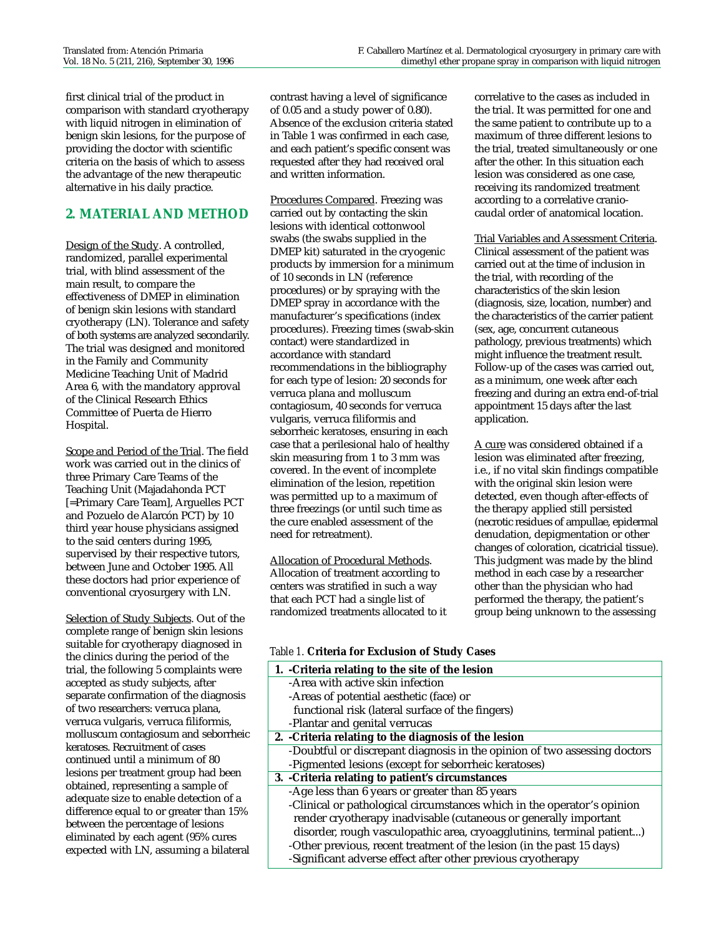first clinical trial of the product in comparison with standard cryotherapy with liquid nitrogen in elimination of benign skin lesions, for the purpose of providing the doctor with scientific criteria on the basis of which to assess the advantage of the new therapeutic alternative in his daily practice.

## **2. MATERIAL AND METHOD**

Design of the Study. A controlled, randomized, parallel experimental trial, with blind assessment of the main result, to compare the effectiveness of DMEP in elimination of benign skin lesions with standard cryotherapy (LN). Tolerance and safety of both systems are analyzed secondarily. The trial was designed and monitored in the Family and Community Medicine Teaching Unit of Madrid Area 6, with the mandatory approval of the Clinical Research Ethics Committee of Puerta de Hierro Hospital.

Scope and Period of the Trial. The field work was carried out in the clinics of three Primary Care Teams of the Teaching Unit (Majadahonda PCT [=Primary Care Team], Arguelles PCT and Pozuelo de Alarcón PCT) by 10 third year house physicians assigned to the said centers during 1995, supervised by their respective tutors, between June and October 1995. All these doctors had prior experience of conventional cryosurgery with LN.

Selection of Study Subjects. Out of the complete range of benign skin lesions suitable for cryotherapy diagnosed in the clinics during the period of the trial, the following 5 complaints were accepted as study subjects, after separate confirmation of the diagnosis of two researchers: verruca plana, verruca vulgaris, verruca filiformis, molluscum contagiosum and seborrheic keratoses. Recruitment of cases continued until a minimum of 80 lesions per treatment group had been obtained, representing a sample of adequate size to enable detection of a difference equal to or greater than 15% between the percentage of lesions eliminated by each agent (95% cures expected with LN, assuming a bilateral

contrast having a level of significance of 0.05 and a study power of 0.80). Absence of the exclusion criteria stated in Table 1 was confirmed in each case, and each patient's specific consent was requested after they had received oral and written information.

Procedures Compared. Freezing was carried out by contacting the skin lesions with identical cottonwool swabs (the swabs supplied in the DMEP kit) saturated in the cryogenic products by immersion for a minimum of 10 seconds in LN (reference procedures) or by spraying with the DMEP spray in accordance with the manufacturer's specifications (index procedures). Freezing times (swab-skin contact) were standardized in accordance with standard recommendations in the bibliography for each type of lesion: 20 seconds for verruca plana and molluscum contagiosum, 40 seconds for verruca vulgaris, verruca filiformis and seborrheic keratoses, ensuring in each case that a perilesional halo of healthy skin measuring from 1 to 3 mm was covered. In the event of incomplete elimination of the lesion, repetition was permitted up to a maximum of three freezings (or until such time as the cure enabled assessment of the need for retreatment).

#### Allocation of Procedural Methods. Allocation of treatment according to centers was stratified in such a way that each PCT had a single list of randomized treatments allocated to it

*Table 1.* **Criteria for Exclusion of Study Cases**

| 1. - Criteria relating to the site of the lesion                          |
|---------------------------------------------------------------------------|
| -Area with active skin infection                                          |
| -Areas of potential aesthetic (face) or                                   |
| functional risk (lateral surface of the fingers)                          |
| -Plantar and genital verrucas                                             |
| 2. - Criteria relating to the diagnosis of the lesion                     |
| -Doubtful or discrepant diagnosis in the opinion of two assessing doctors |
| -Pigmented lesions (except for seborrheic keratoses)                      |
| 3. - Criteria relating to patient's circumstances                         |
| -Age less than 6 years or greater than 85 years                           |
| -Clinical or pathological circumstances which in the operator's opinion   |
| render cryotherapy inadvisable (cutaneous or generally important          |
| disorder, rough vasculopathic area, cryoagglutinins, terminal patient)    |
| -Other previous, recent treatment of the lesion (in the past 15 days)     |
| -Significant adverse effect after other previous cryotherapy              |

correlative to the cases as included in the trial. It was permitted for one and the same patient to contribute up to a maximum of three different lesions to the trial, treated simultaneously or one after the other. In this situation each lesion was considered as one case, receiving its randomized treatment according to a correlative craniocaudal order of anatomical location.

#### Trial Variables and Assessment Criteria.

Clinical assessment of the patient was carried out at the time of inclusion in the trial, with recording of the characteristics of the skin lesion (diagnosis, size, location, number) and the characteristics of the carrier patient (sex, age, concurrent cutaneous pathology, previous treatments) which might influence the treatment result. Follow-up of the cases was carried out, as a minimum, one week after each freezing and during an extra end-of-trial appointment 15 days after the last application.

A cure was considered obtained if a lesion was eliminated after freezing, i.e., if no vital skin findings compatible with the original skin lesion were detected, even though after-effects of the therapy applied still persisted (necrotic residues of ampullae, epidermal denudation, depigmentation or other changes of coloration, cicatricial tissue). This judgment was made by the blind method in each case by a researcher other than the physician who had performed the therapy, the patient's group being unknown to the assessing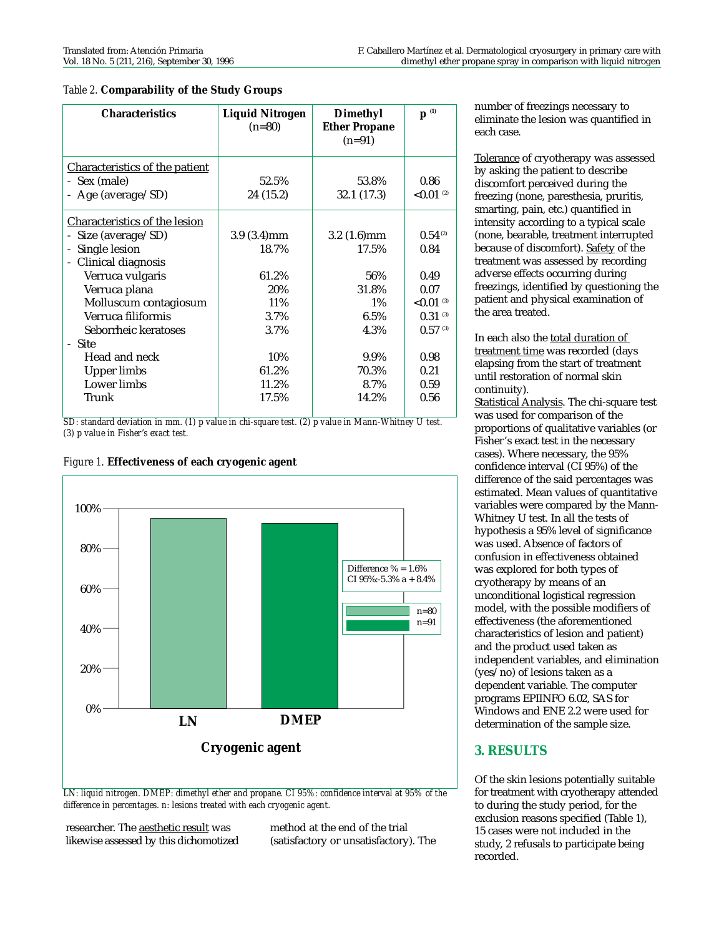| <b>Characteristics</b>                | <b>Liquid Nitrogen</b><br>$(n=80)$ | Dimethyl<br><b>Ether Propane</b><br>$(n=91)$ | $\mathbf{p}^{\scriptscriptstyle{(1)}}$ |
|---------------------------------------|------------------------------------|----------------------------------------------|----------------------------------------|
| <b>Characteristics of the patient</b> |                                    |                                              |                                        |
| - Sex (male)                          | 52.5%                              | 53.8%                                        | 0.86                                   |
| - Age (average/SD)                    | 24 (15.2)                          | 32.1 (17.3)                                  | ${<}0.01$ <sup>(2)</sup>               |
| Characteristics of the lesion         |                                    |                                              |                                        |
| Size (average/SD)                     | $3.9(3.4)$ mm                      | $3.2(1.6)$ mm                                | 0.54 <sup>(2)</sup>                    |
| Single lesion<br>÷                    | 18.7%                              | 17.5%                                        | 0.84                                   |
| Clinical diagnosis<br>÷               |                                    |                                              |                                        |
| Verruca vulgaris                      | 61.2%                              | 56%                                          | 0.49                                   |
| Verruca plana                         | 20%                                | 31.8%                                        | 0.07                                   |
| Molluscum contagiosum                 | 11%                                | $1\%$                                        | ${<}0.01$ <sup>(3)</sup>               |
| Verruca filiformis                    | 3.7%                               | $6.5\%$                                      | $0.31$ (3)                             |
| Seborrheic keratoses                  | 3.7%                               | 4.3%                                         | $0.57$ (3)                             |
| - Site                                |                                    |                                              |                                        |
| Head and neck                         | 10%                                | 9.9%                                         | 0.98                                   |
| <b>Upper limbs</b>                    | 61.2%                              | 70.3%                                        | 0.21                                   |
| Lower limbs                           | 11.2%                              | 8.7%                                         | 0.59                                   |
| Trunk                                 | 17.5%                              | 14.2%                                        | 0.56                                   |

*Table 2.* **Comparability of the Study Groups**

*SD: standard deviation in mm. (1) p value in chi-square test. (2) p value in Mann-Whitney U test. (3) p value in Fisher's exact test.*



#### *Figure 1.* **Effectiveness of each cryogenic agent**

*LN: liquid nitrogen. DMEP: dimethyl ether and propane. CI 95%: confidence interval at 95% of the difference in percentages. n: lesions treated with each cryogenic agent.*

researcher. The aesthetic result was likewise assessed by this dichomotized method at the end of the trial (satisfactory or unsatisfactory). The number of freezings necessary to eliminate the lesion was quantified in each case.

Tolerance of cryotherapy was assessed by asking the patient to describe discomfort perceived during the freezing (none, paresthesia, pruritis, smarting, pain, etc.) quantified in intensity according to a typical scale (none, bearable, treatment interrupted because of discomfort). Safety of the treatment was assessed by recording adverse effects occurring during freezings, identified by questioning the patient and physical examination of the area treated.

In each also the total duration of treatment time was recorded (days elapsing from the start of treatment until restoration of normal skin continuity).

Statistical Analysis. The chi-square test was used for comparison of the proportions of qualitative variables (or Fisher's exact test in the necessary cases). Where necessary, the 95% confidence interval (CI 95%) of the difference of the said percentages was estimated. Mean values of quantitative variables were compared by the Mann-Whitney U test. In all the tests of hypothesis a 95% level of significance was used. Absence of factors of confusion in effectiveness obtained was explored for both types of cryotherapy by means of an unconditional logistical regression model, with the possible modifiers of effectiveness (the aforementioned characteristics of lesion and patient) and the product used taken as independent variables, and elimination (yes/no) of lesions taken as a dependent variable. The computer programs EPIINFO 6.02, SAS for Windows and ENE 2.2 were used for determination of the sample size.

### **3. RESULTS**

Of the skin lesions potentially suitable for treatment with cryotherapy attended to during the study period, for the exclusion reasons specified (Table 1), 15 cases were not included in the study, 2 refusals to participate being recorded.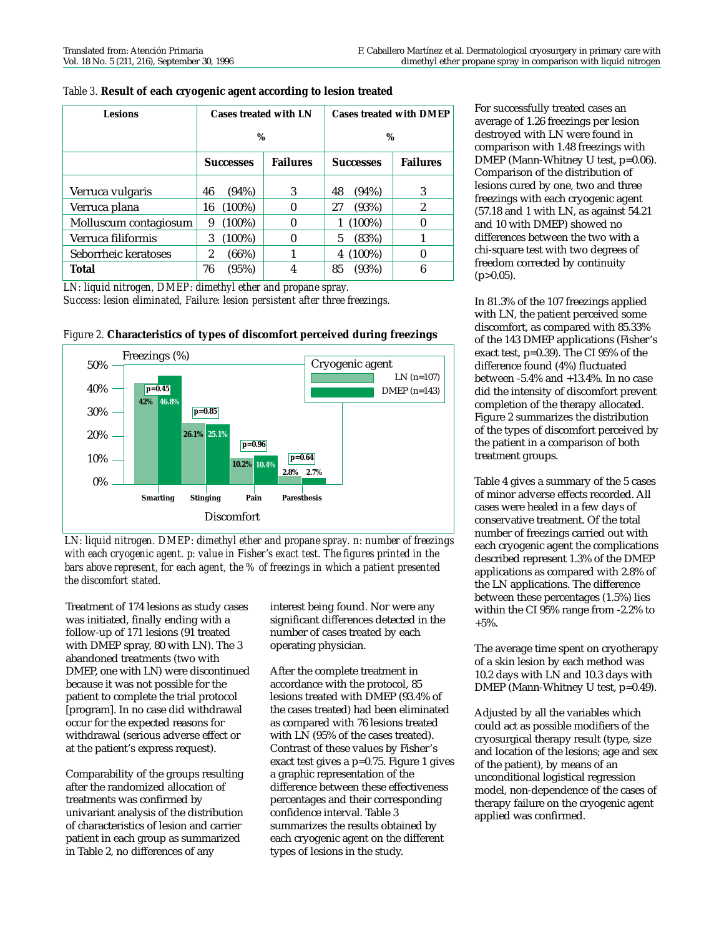| <b>Lesions</b>        |    |                  | <b>Cases treated with LN</b> |    | <b>Cases treated with DMEP</b> |                 |  |
|-----------------------|----|------------------|------------------------------|----|--------------------------------|-----------------|--|
|                       |    | $\%$             |                              |    | $\%$                           |                 |  |
|                       |    | <b>Successes</b> | <b>Failures</b>              |    | <b>Successes</b>               | <b>Failures</b> |  |
| Verruca vulgaris      | 46 | (94%)            | 3                            | 48 | (94%)                          | 3               |  |
| Verruca plana         | 16 | $(100\%)$        | $\bf{0}$                     | 27 | (93%)                          | $\overline{2}$  |  |
| Molluscum contagiosum | 9  | $(100\%)$        | 0                            | 1  | $(100\%)$                      |                 |  |
| Verruca filiformis    | 3  | $(100\%)$        | 0                            | 5  | (83%)                          |                 |  |
| Seborrheic keratoses  | 2  | (66%)            | 1                            | 4  | $(100\%)$                      | 0               |  |
| Total                 | 76 | (95%)            | 4                            | 85 | (93%)                          | 6               |  |

*Table 3.* **Result of each cryogenic agent according to lesion treated**

*LN: liquid nitrogen, DMEP: dimethyl ether and propane spray. Success: lesion eliminated, Failure: lesion persistent after three freezings.*





*LN: liquid nitrogen. DMEP: dimethyl ether and propane spray. n: number of freezings with each cryogenic agent. p: value in Fisher's exact test. The figures printed in the bars above represent, for each agent, the % of freezings in which a patient presented the discomfort stated.*

Treatment of 174 lesions as study cases was initiated, finally ending with a follow-up of 171 lesions (91 treated with DMEP spray, 80 with LN). The 3 abandoned treatments (two with DMEP, one with LN) were discontinued because it was not possible for the patient to complete the trial protocol [program]. In no case did withdrawal occur for the expected reasons for withdrawal (serious adverse effect or at the patient's express request).

Comparability of the groups resulting after the randomized allocation of treatments was confirmed by univariant analysis of the distribution of characteristics of lesion and carrier patient in each group as summarized in Table 2, no differences of any

interest being found. Nor were any significant differences detected in the number of cases treated by each operating physician.

After the complete treatment in accordance with the protocol, 85 lesions treated with DMEP (93.4% of the cases treated) had been eliminated as compared with 76 lesions treated with LN (95% of the cases treated). Contrast of these values by Fisher's exact test gives a p=0.75. Figure 1 gives a graphic representation of the difference between these effectiveness percentages and their corresponding confidence interval. Table 3 summarizes the results obtained by each cryogenic agent on the different types of lesions in the study.

For successfully treated cases an average of 1.26 freezings per lesion destroyed with LN were found in comparison with 1.48 freezings with DMEP (Mann-Whitney U test, p=0.06). Comparison of the distribution of lesions cured by one, two and three freezings with each cryogenic agent (57.18 and 1 with LN, as against 54.21 and 10 with DMEP) showed no differences between the two with a chi-square test with two degrees of freedom corrected by continuity  $(p>0.05)$ .

In 81.3% of the 107 freezings applied with LN, the patient perceived some discomfort, as compared with 85.33% of the 143 DMEP applications (Fisher's exact test, p=0.39). The CI 95% of the difference found (4%) fluctuated between -5.4% and +13.4%. In no case did the intensity of discomfort prevent completion of the therapy allocated. Figure 2 summarizes the distribution of the types of discomfort perceived by the patient in a comparison of both treatment groups.

Table 4 gives a summary of the 5 cases of minor adverse effects recorded. All cases were healed in a few days of conservative treatment. Of the total number of freezings carried out with each cryogenic agent the complications described represent 1.3% of the DMEP applications as compared with 2.8% of the LN applications. The difference between these percentages (1.5%) lies within the CI 95% range from -2.2% to +5%.

The average time spent on cryotherapy of a skin lesion by each method was 10.2 days with LN and 10.3 days with DMEP (Mann-Whitney U test, p=0.49).

Adjusted by all the variables which could act as possible modifiers of the cryosurgical therapy result (type, size and location of the lesions; age and sex of the patient), by means of an unconditional logistical regression model, non-dependence of the cases of therapy failure on the cryogenic agent applied was confirmed.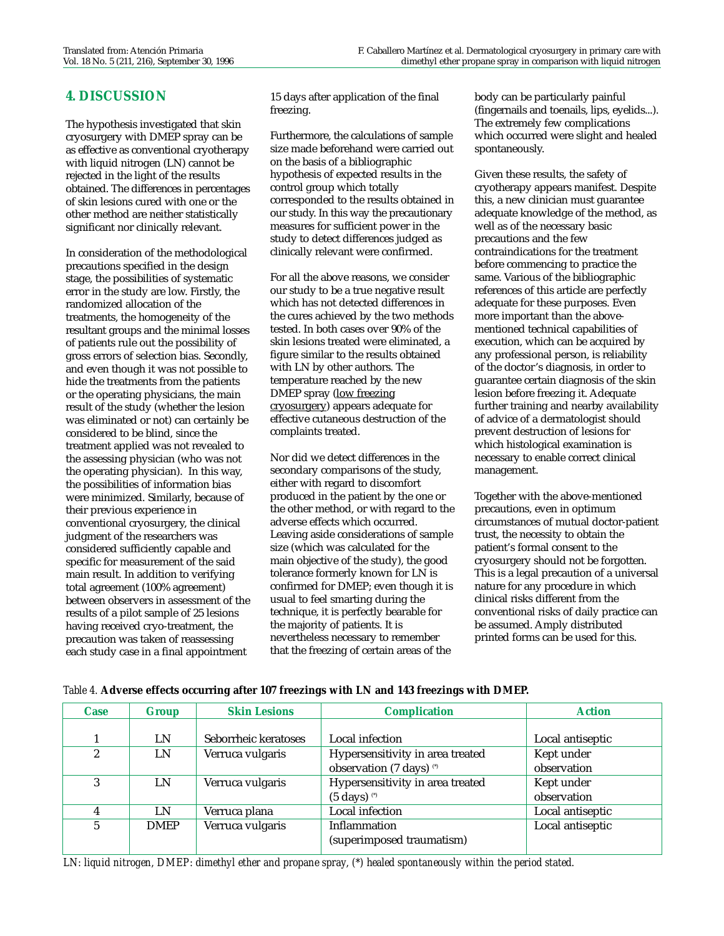## **4. DISCUSSION**

The hypothesis investigated that skin cryosurgery with DMEP spray can be as effective as conventional cryotherapy with liquid nitrogen (LN) cannot be rejected in the light of the results obtained. The differences in percentages of skin lesions cured with one or the other method are neither statistically significant nor clinically relevant.

In consideration of the methodological precautions specified in the design stage, the possibilities of systematic error in the study are low. Firstly, the randomized allocation of the treatments, the homogeneity of the resultant groups and the minimal losses of patients rule out the possibility of gross errors of selection bias. Secondly, and even though it was not possible to hide the treatments from the patients or the operating physicians, the main result of the study (whether the lesion was eliminated or not) can certainly be considered to be blind, since the treatment applied was not revealed to the assessing physician (who was not the operating physician). In this way, the possibilities of information bias were minimized. Similarly, because of their previous experience in conventional cryosurgery, the clinical judgment of the researchers was considered sufficiently capable and specific for measurement of the said main result. In addition to verifying total agreement (100% agreement) between observers in assessment of the results of a pilot sample of 25 lesions having received cryo-treatment, the precaution was taken of reassessing each study case in a final appointment

15 days after application of the final freezing.

Furthermore, the calculations of sample size made beforehand were carried out on the basis of a bibliographic hypothesis of expected results in the control group which totally corresponded to the results obtained in our study. In this way the precautionary measures for sufficient power in the study to detect differences judged as clinically relevant were confirmed.

For all the above reasons, we consider our study to be a true negative result which has not detected differences in the cures achieved by the two methods tested. In both cases over 90% of the skin lesions treated were eliminated, a figure similar to the results obtained with LN by other authors. The temperature reached by the new DMEP spray (low freezing cryosurgery) appears adequate for effective cutaneous destruction of the complaints treated.

Nor did we detect differences in the secondary comparisons of the study, either with regard to discomfort produced in the patient by the one or the other method, or with regard to the adverse effects which occurred. Leaving aside considerations of sample size (which was calculated for the main objective of the study), the good tolerance formerly known for LN is confirmed for DMEP; even though it is usual to feel smarting during the technique, it is perfectly bearable for the majority of patients. It is nevertheless necessary to remember that the freezing of certain areas of the

body can be particularly painful (fingernails and toenails, lips, eyelids...). The extremely few complications which occurred were slight and healed spontaneously.

Given these results, the safety of cryotherapy appears manifest. Despite this, a new clinician must guarantee adequate knowledge of the method, as well as of the necessary basic precautions and the few contraindications for the treatment before commencing to practice the same. Various of the bibliographic references of this article are perfectly adequate for these purposes. Even more important than the abovementioned technical capabilities of execution, which can be acquired by any professional person, is reliability of the doctor's diagnosis, in order to guarantee certain diagnosis of the skin lesion before freezing it. Adequate further training and nearby availability of advice of a dermatologist should prevent destruction of lesions for which histological examination is necessary to enable correct clinical management.

Together with the above-mentioned precautions, even in optimum circumstances of mutual doctor-patient trust, the necessity to obtain the patient's formal consent to the cryosurgery should not be forgotten. This is a legal precaution of a universal nature for any procedure in which clinical risks different from the conventional risks of daily practice can be assumed. Amply distributed printed forms can be used for this.

| <b>Case</b>    | <b>Group</b> | <b>Skin Lesions</b>  | <b>Complication</b>                 | <b>Action</b>    |
|----------------|--------------|----------------------|-------------------------------------|------------------|
|                |              |                      |                                     |                  |
|                | LN           | Seborrheic keratoses | Local infection                     | Local antiseptic |
| 2              | LN           | Verruca vulgaris     | Hypersensitivity in area treated    | Kept under       |
|                |              |                      | observation (7 days) <sup>(*)</sup> | observation      |
| 3              | LN           | Verruca vulgaris     | Hypersensitivity in area treated    | Kept under       |
|                |              |                      | $(5 \text{ days})$ $\circ$          | observation      |
| 4              | LN           | Verruca plana        | Local infection                     | Local antiseptic |
| $\overline{5}$ | <b>DMEP</b>  | Verruca vulgaris     | <b>Inflammation</b>                 | Local antiseptic |
|                |              |                      | (superimposed traumatism)           |                  |

#### *Table 4.* **Adverse effects occurring after 107 freezings with LN and 143 freezings with DMEP.**

*LN: liquid nitrogen, DMEP: dimethyl ether and propane spray, (\*) healed spontaneously within the period stated.*